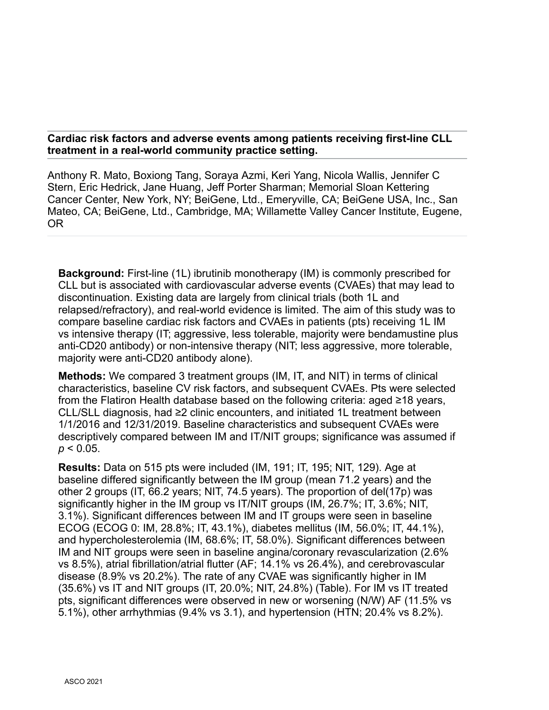**Cardiac risk factors and adverse events among patients receiving first-line CLL treatment in a real-world community practice setting.**

Anthony R. Mato, Boxiong Tang, Soraya Azmi, Keri Yang, Nicola Wallis, Jennifer C Stern, Eric Hedrick, Jane Huang, Jeff Porter Sharman; Memorial Sloan Kettering Cancer Center, New York, NY; BeiGene, Ltd., Emeryville, CA; BeiGene USA, Inc., San Mateo, CA; BeiGene, Ltd., Cambridge, MA; Willamette Valley Cancer Institute, Eugene, OR

**Background:** First-line (1L) ibrutinib monotherapy (IM) is commonly prescribed for CLL but is associated with cardiovascular adverse events (CVAEs) that may lead to discontinuation. Existing data are largely from clinical trials (both 1L and relapsed/refractory), and real-world evidence is limited. The aim of this study was to compare baseline cardiac risk factors and CVAEs in patients (pts) receiving 1L IM vs intensive therapy (IT; aggressive, less tolerable, majority were bendamustine plus anti-CD20 antibody) or non-intensive therapy (NIT; less aggressive, more tolerable, majority were anti-CD20 antibody alone).

**Methods:** We compared 3 treatment groups (IM, IT, and NIT) in terms of clinical characteristics, baseline CV risk factors, and subsequent CVAEs. Pts were selected from the Flatiron Health database based on the following criteria: aged ≥18 years, CLL/SLL diagnosis, had ≥2 clinic encounters, and initiated 1L treatment between 1/1/2016 and 12/31/2019. Baseline characteristics and subsequent CVAEs were descriptively compared between IM and IT/NIT groups; significance was assumed if  $p < 0.05$ .

**Results:** Data on 515 pts were included (IM, 191; IT, 195; NIT, 129). Age at baseline differed significantly between the IM group (mean 71.2 years) and the other 2 groups (IT, 66.2 years; NIT, 74.5 years). The proportion of del(17p) was significantly higher in the IM group vs IT/NIT groups (IM, 26.7%; IT, 3.6%; NIT, 3.1%). Significant differences between IM and IT groups were seen in baseline ECOG (ECOG 0: IM, 28.8%; IT, 43.1%), diabetes mellitus (IM, 56.0%; IT, 44.1%), and hypercholesterolemia (IM, 68.6%; IT, 58.0%). Significant differences between IM and NIT groups were seen in baseline angina/coronary revascularization (2.6% vs 8.5%), atrial fibrillation/atrial flutter (AF; 14.1% vs 26.4%), and cerebrovascular disease (8.9% vs 20.2%). The rate of any CVAE was significantly higher in IM (35.6%) vs IT and NIT groups (IT, 20.0%; NIT, 24.8%) (Table). For IM vs IT treated pts, significant differences were observed in new or worsening (N/W) AF (11.5% vs 5.1%), other arrhythmias (9.4% vs 3.1), and hypertension (HTN; 20.4% vs 8.2%).